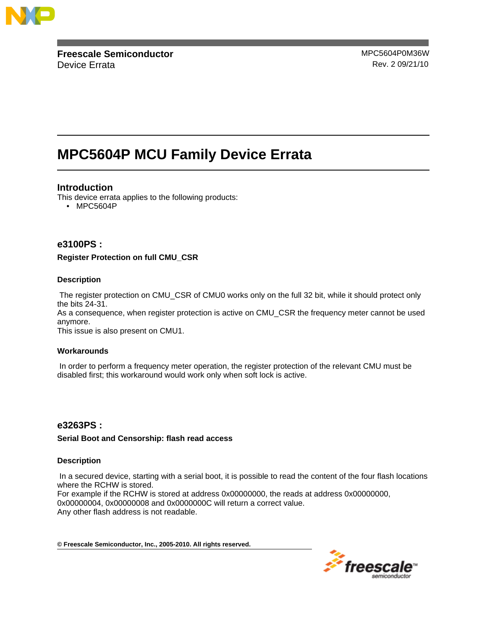

**Freescale Semiconductor** MPC5604P0M36W Device Errata **Rev. 2 09/21/10** 

# **MPC5604P MCU Family Device Errata**

## **Introduction**

This device errata applies to the following products:

• MPC5604P

## **e3100PS :**

**Register Protection on full CMU\_CSR**

## **Description**

The register protection on CMU\_CSR of CMU0 works only on the full 32 bit, while it should protect only the bits 24-31.

As a consequence, when register protection is active on CMU\_CSR the frequency meter cannot be used anymore.

This issue is also present on CMU1.

## **Workarounds**

In order to perform a frequency meter operation, the register protection of the relevant CMU must be disabled first; this workaround would work only when soft lock is active.

## **e3263PS :**

## **Serial Boot and Censorship: flash read access**

#### **Description**

In a secured device, starting with a serial boot, it is possible to read the content of the four flash locations where the RCHW is stored.

For example if the RCHW is stored at address 0x00000000, the reads at address 0x00000000, 0x00000004, 0x00000008 and 0x0000000C will return a correct value. Any other flash address is not readable.

**© Freescale Semiconductor, Inc., 2005-2010. All rights reserved.**

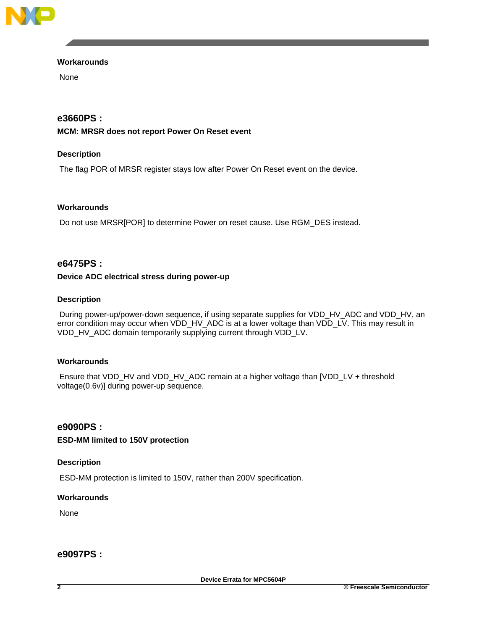

## **Workarounds**

None

## **e3660PS :**

## **MCM: MRSR does not report Power On Reset event**

## **Description**

The flag POR of MRSR register stays low after Power On Reset event on the device.

## **Workarounds**

Do not use MRSR[POR] to determine Power on reset cause. Use RGM\_DES instead.

## **e6475PS :**

## **Device ADC electrical stress during power-up**

## **Description**

During power-up/power-down sequence, if using separate supplies for VDD\_HV\_ADC and VDD\_HV, an error condition may occur when VDD\_HV\_ADC is at a lower voltage than VDD\_LV. This may result in VDD\_HV\_ADC domain temporarily supplying current through VDD\_LV.

## **Workarounds**

Ensure that VDD\_HV and VDD\_HV\_ADC remain at a higher voltage than [VDD\_LV + threshold voltage(0.6v)] during power-up sequence.

## **e9090PS :**

## **ESD-MM limited to 150V protection**

## **Description**

ESD-MM protection is limited to 150V, rather than 200V specification.

## **Workarounds**

None

## **e9097PS :**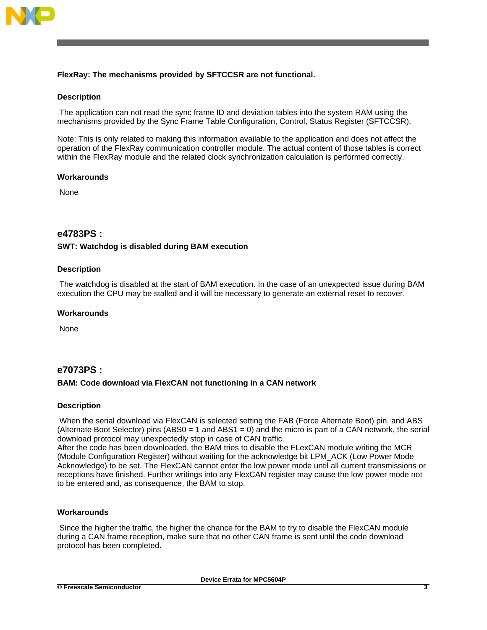

## **FlexRay: The mechanisms provided by SFTCCSR are not functional.**

### **Description**

The application can not read the sync frame ID and deviation tables into the system RAM using the mechanisms provided by the Sync Frame Table Configuration, Control, Status Register (SFTCCSR).

Note: This is only related to making this information available to the application and does not affect the operation of the FlexRay communication controller module. The actual content of those tables is correct within the FlexRay module and the related clock synchronization calculation is performed correctly.

#### **Workarounds**

None

## **e4783PS :**

### **SWT: Watchdog is disabled during BAM execution**

#### **Description**

The watchdog is disabled at the start of BAM execution. In the case of an unexpected issue during BAM execution the CPU may be stalled and it will be necessary to generate an external reset to recover.

#### **Workarounds**

None

## **e7073PS :**

## **BAM: Code download via FlexCAN not functioning in a CAN network**

#### **Description**

When the serial download via FlexCAN is selected setting the FAB (Force Alternate Boot) pin, and ABS (Alternate Boot Selector) pins (ABS0 = 1 and ABS1 = 0) and the micro is part of a CAN network, the serial download protocol may unexpectedly stop in case of CAN traffic.

After the code has been downloaded, the BAM tries to disable the FLexCAN module writing the MCR (Module Configuration Register) without waiting for the acknowledge bit LPM\_ACK (Low Power Mode Acknowledge) to be set. The FlexCAN cannot enter the low power mode until all current transmissions or receptions have finished. Further writings into any FlexCAN register may cause the low power mode not to be entered and, as consequence, the BAM to stop.

#### **Workarounds**

Since the higher the traffic, the higher the chance for the BAM to try to disable the FlexCAN module during a CAN frame reception, make sure that no other CAN frame is sent until the code download protocol has been completed.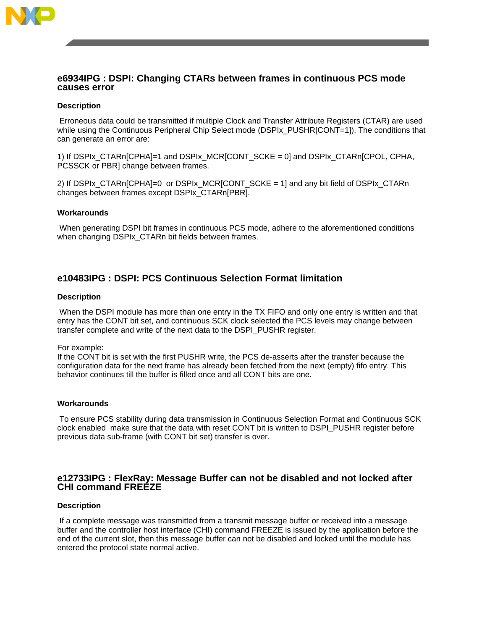

## **e6934IPG : DSPI: Changing CTARs between frames in continuous PCS mode causes error**

#### **Description**

Erroneous data could be transmitted if multiple Clock and Transfer Attribute Registers (CTAR) are used while using the Continuous Peripheral Chip Select mode (DSPIx\_PUSHR[CONT=1]). The conditions that can generate an error are:

1) If DSPIx\_CTARn[CPHA]=1 and DSPIx\_MCR[CONT\_SCKE = 0] and DSPIx\_CTARn[CPOL, CPHA, PCSSCK or PBR] change between frames.

2) If DSPIx\_CTARn[CPHA]=0 or DSPIx\_MCR[CONT\_SCKE = 1] and any bit field of DSPIx\_CTARn changes between frames except DSPIx\_CTARn[PBR].

#### **Workarounds**

When generating DSPI bit frames in continuous PCS mode, adhere to the aforementioned conditions when changing DSPIx\_CTARn bit fields between frames.

## **e10483IPG : DSPI: PCS Continuous Selection Format limitation**

#### **Description**

When the DSPI module has more than one entry in the TX FIFO and only one entry is written and that entry has the CONT bit set, and continuous SCK clock selected the PCS levels may change between transfer complete and write of the next data to the DSPI\_PUSHR register.

For example:

If the CONT bit is set with the first PUSHR write, the PCS de-asserts after the transfer because the configuration data for the next frame has already been fetched from the next (empty) fifo entry. This behavior continues till the buffer is filled once and all CONT bits are one.

#### **Workarounds**

To ensure PCS stability during data transmission in Continuous Selection Format and Continuous SCK clock enabled make sure that the data with reset CONT bit is written to DSPI\_PUSHR register before previous data sub-frame (with CONT bit set) transfer is over.

## **e12733IPG : FlexRay: Message Buffer can not be disabled and not locked after CHI command FREEZE**

#### **Description**

If a complete message was transmitted from a transmit message buffer or received into a message buffer and the controller host interface (CHI) command FREEZE is issued by the application before the end of the current slot, then this message buffer can not be disabled and locked until the module has entered the protocol state normal active.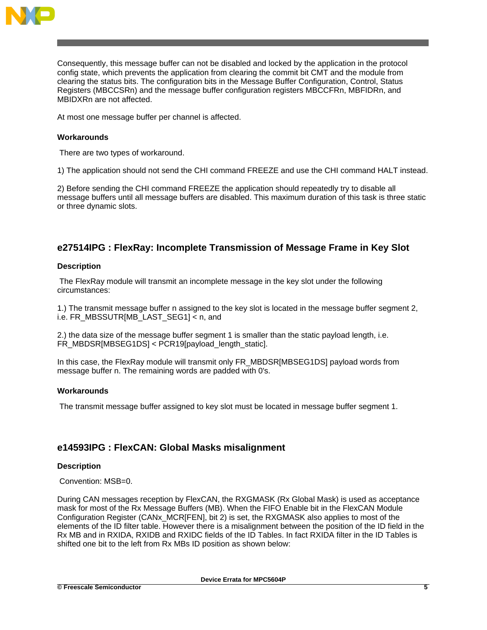

Consequently, this message buffer can not be disabled and locked by the application in the protocol config state, which prevents the application from clearing the commit bit CMT and the module from clearing the status bits. The configuration bits in the Message Buffer Configuration, Control, Status Registers (MBCCSRn) and the message buffer configuration registers MBCCFRn, MBFIDRn, and MBIDXRn are not affected.

At most one message buffer per channel is affected.

## **Workarounds**

There are two types of workaround.

1) The application should not send the CHI command FREEZE and use the CHI command HALT instead.

2) Before sending the CHI command FREEZE the application should repeatedly try to disable all message buffers until all message buffers are disabled. This maximum duration of this task is three static or three dynamic slots.

## **e27514IPG : FlexRay: Incomplete Transmission of Message Frame in Key Slot**

### **Description**

The FlexRay module will transmit an incomplete message in the key slot under the following circumstances:

1.) The transmit message buffer n assigned to the key slot is located in the message buffer segment 2, i.e. FR\_MBSSUTR[MB\_LAST\_SEG1] < n, and

2.) the data size of the message buffer segment 1 is smaller than the static payload length, i.e. FR\_MBDSR[MBSEG1DS] < PCR19[payload\_length\_static].

In this case, the FlexRay module will transmit only FR\_MBDSR[MBSEG1DS] payload words from message buffer n. The remaining words are padded with 0's.

## **Workarounds**

The transmit message buffer assigned to key slot must be located in message buffer segment 1.

## **e14593IPG : FlexCAN: Global Masks misalignment**

## **Description**

Convention: MSB=0.

During CAN messages reception by FlexCAN, the RXGMASK (Rx Global Mask) is used as acceptance mask for most of the Rx Message Buffers (MB). When the FIFO Enable bit in the FlexCAN Module Configuration Register (CANx\_MCR[FEN], bit 2) is set, the RXGMASK also applies to most of the elements of the ID filter table. However there is a misalignment between the position of the ID field in the Rx MB and in RXIDA, RXIDB and RXIDC fields of the ID Tables. In fact RXIDA filter in the ID Tables is shifted one bit to the left from Rx MBs ID position as shown below: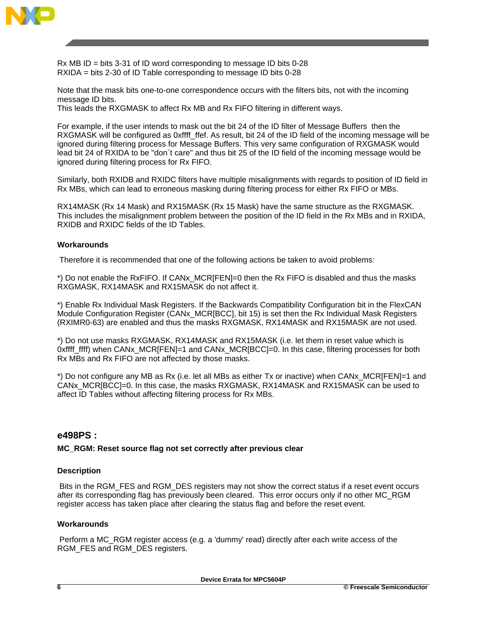

Rx MB ID = bits 3-31 of ID word corresponding to message ID bits 0-28 RXIDA = bits 2-30 of ID Table corresponding to message ID bits 0-28

Note that the mask bits one-to-one correspondence occurs with the filters bits, not with the incoming message ID bits.

This leads the RXGMASK to affect Rx MB and Rx FIFO filtering in different ways.

For example, if the user intends to mask out the bit 24 of the ID filter of Message Buffers then the RXGMASK will be configured as 0xffff\_ffef. As result, bit 24 of the ID field of the incoming message will be ignored during filtering process for Message Buffers. This very same configuration of RXGMASK would lead bit 24 of RXIDA to be "don`t care" and thus bit 25 of the ID field of the incoming message would be ignored during filtering process for Rx FIFO.

Similarly, both RXIDB and RXIDC filters have multiple misalignments with regards to position of ID field in Rx MBs, which can lead to erroneous masking during filtering process for either Rx FIFO or MBs.

RX14MASK (Rx 14 Mask) and RX15MASK (Rx 15 Mask) have the same structure as the RXGMASK. This includes the misalignment problem between the position of the ID field in the Rx MBs and in RXIDA, RXIDB and RXIDC fields of the ID Tables.

## **Workarounds**

Therefore it is recommended that one of the following actions be taken to avoid problems:

\*) Do not enable the RxFIFO. If CANx\_MCR[FEN]=0 then the Rx FIFO is disabled and thus the masks RXGMASK, RX14MASK and RX15MASK do not affect it.

\*) Enable Rx Individual Mask Registers. If the Backwards Compatibility Configuration bit in the FlexCAN Module Configuration Register (CANx\_MCR[BCC], bit 15) is set then the Rx Individual Mask Registers (RXIMR0-63) are enabled and thus the masks RXGMASK, RX14MASK and RX15MASK are not used.

\*) Do not use masks RXGMASK, RX14MASK and RX15MASK (i.e. let them in reset value which is 0xffff\_ffff) when CANx\_MCR[FEN]=1 and CANx\_MCR[BCC]=0. In this case, filtering processes for both Rx MBs and Rx FIFO are not affected by those masks.

\*) Do not configure any MB as Rx (i.e. let all MBs as either Tx or inactive) when CANx\_MCR[FEN]=1 and CANx\_MCR[BCC]=0. In this case, the masks RXGMASK, RX14MASK and RX15MASK can be used to affect ID Tables without affecting filtering process for Rx MBs.

## **e498PS :**

#### **MC\_RGM: Reset source flag not set correctly after previous clear**

#### **Description**

Bits in the RGM\_FES and RGM\_DES registers may not show the correct status if a reset event occurs after its corresponding flag has previously been cleared. This error occurs only if no other MC\_RGM register access has taken place after clearing the status flag and before the reset event.

#### **Workarounds**

Perform a MC\_RGM register access (e.g. a 'dummy' read) directly after each write access of the RGM\_FES and RGM\_DES registers.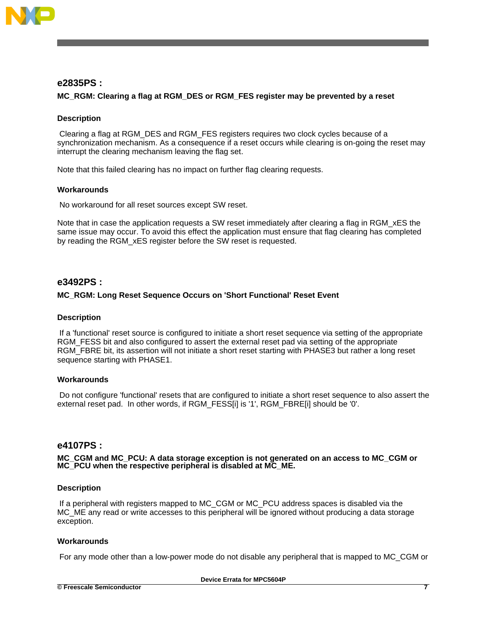

## **e2835PS :**

### **MC\_RGM: Clearing a flag at RGM\_DES or RGM\_FES register may be prevented by a reset**

#### **Description**

Clearing a flag at RGM\_DES and RGM\_FES registers requires two clock cycles because of a synchronization mechanism. As a consequence if a reset occurs while clearing is on-going the reset may interrupt the clearing mechanism leaving the flag set.

Note that this failed clearing has no impact on further flag clearing requests.

#### **Workarounds**

No workaround for all reset sources except SW reset.

Note that in case the application requests a SW reset immediately after clearing a flag in RGM xES the same issue may occur. To avoid this effect the application must ensure that flag clearing has completed by reading the RGM\_xES register before the SW reset is requested.

## **e3492PS :**

#### **MC\_RGM: Long Reset Sequence Occurs on 'Short Functional' Reset Event**

#### **Description**

If a 'functional' reset source is configured to initiate a short reset sequence via setting of the appropriate RGM\_FESS bit and also configured to assert the external reset pad via setting of the appropriate RGM\_FBRE bit, its assertion will not initiate a short reset starting with PHASE3 but rather a long reset sequence starting with PHASE1.

#### **Workarounds**

Do not configure 'functional' resets that are configured to initiate a short reset sequence to also assert the external reset pad. In other words, if RGM\_FESS[i] is '1', RGM\_FBRE[i] should be '0'.

#### **e4107PS :**

**MC\_CGM and MC\_PCU: A data storage exception is not generated on an access to MC\_CGM or MC\_PCU when the respective peripheral is disabled at MC\_ME.**

#### **Description**

If a peripheral with registers mapped to MC\_CGM or MC\_PCU address spaces is disabled via the MC\_ME any read or write accesses to this peripheral will be ignored without producing a data storage exception.

#### **Workarounds**

For any mode other than a low-power mode do not disable any peripheral that is mapped to MC\_CGM or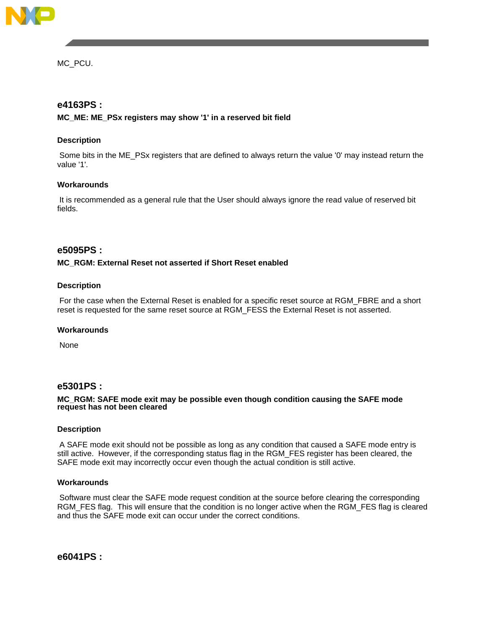

MC\_PCU.

## **e4163PS :**

## **MC\_ME: ME\_PSx registers may show '1' in a reserved bit field**

## **Description**

Some bits in the ME\_PSx registers that are defined to always return the value '0' may instead return the value '1'.

#### **Workarounds**

It is recommended as a general rule that the User should always ignore the read value of reserved bit fields.

## **e5095PS :**

#### **MC\_RGM: External Reset not asserted if Short Reset enabled**

#### **Description**

For the case when the External Reset is enabled for a specific reset source at RGM\_FBRE and a short reset is requested for the same reset source at RGM\_FESS the External Reset is not asserted.

#### **Workarounds**

None

## **e5301PS :**

#### **MC\_RGM: SAFE mode exit may be possible even though condition causing the SAFE mode request has not been cleared**

#### **Description**

A SAFE mode exit should not be possible as long as any condition that caused a SAFE mode entry is still active. However, if the corresponding status flag in the RGM\_FES register has been cleared, the SAFE mode exit may incorrectly occur even though the actual condition is still active.

#### **Workarounds**

Software must clear the SAFE mode request condition at the source before clearing the corresponding RGM\_FES flag. This will ensure that the condition is no longer active when the RGM\_FES flag is cleared and thus the SAFE mode exit can occur under the correct conditions.

**e6041PS :**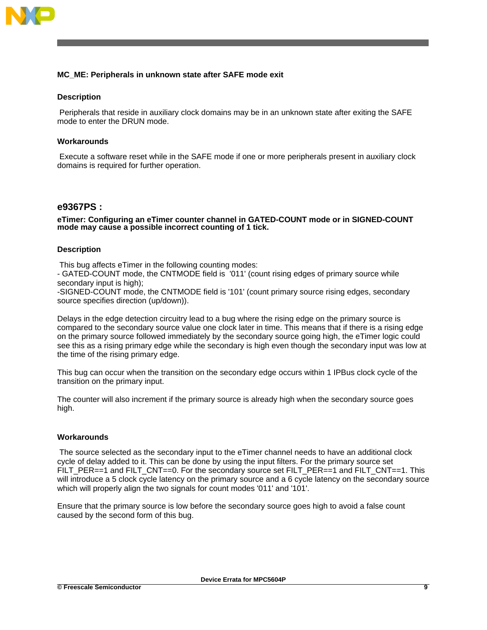

## **MC\_ME: Peripherals in unknown state after SAFE mode exit**

### **Description**

Peripherals that reside in auxiliary clock domains may be in an unknown state after exiting the SAFE mode to enter the DRUN mode.

#### **Workarounds**

Execute a software reset while in the SAFE mode if one or more peripherals present in auxiliary clock domains is required for further operation.

## **e9367PS :**

**eTimer: Configuring an eTimer counter channel in GATED-COUNT mode or in SIGNED-COUNT mode may cause a possible incorrect counting of 1 tick.**

#### **Description**

This bug affects eTimer in the following counting modes:

- GATED-COUNT mode, the CNTMODE field is '011' (count rising edges of primary source while secondary input is high);

-SIGNED-COUNT mode, the CNTMODE field is '101' (count primary source rising edges, secondary source specifies direction (up/down)).

Delays in the edge detection circuitry lead to a bug where the rising edge on the primary source is compared to the secondary source value one clock later in time. This means that if there is a rising edge on the primary source followed immediately by the secondary source going high, the eTimer logic could see this as a rising primary edge while the secondary is high even though the secondary input was low at the time of the rising primary edge.

This bug can occur when the transition on the secondary edge occurs within 1 IPBus clock cycle of the transition on the primary input.

The counter will also increment if the primary source is already high when the secondary source goes high.

#### **Workarounds**

The source selected as the secondary input to the eTimer channel needs to have an additional clock cycle of delay added to it. This can be done by using the input filters. For the primary source set FILT PER==1 and FILT CNT==0. For the secondary source set FILT PER==1 and FILT CNT==1. This will introduce a 5 clock cycle latency on the primary source and a 6 cycle latency on the secondary source which will properly align the two signals for count modes '011' and '101'.

**Device Errata for MPC5604P**

Ensure that the primary source is low before the secondary source goes high to avoid a false count caused by the second form of this bug.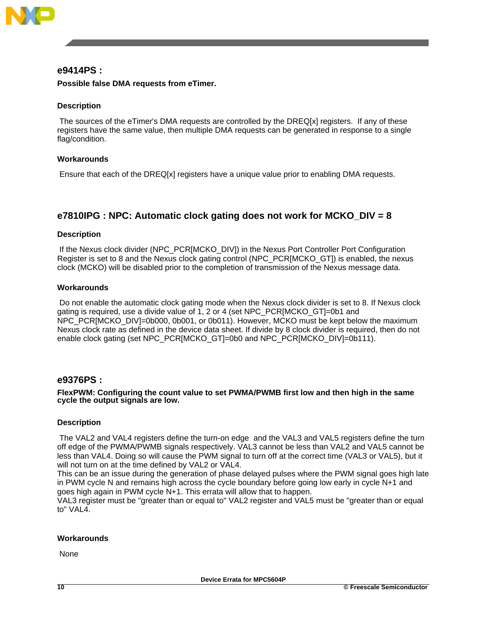

## **e9414PS :**

## **Possible false DMA requests from eTimer.**

## **Description**

The sources of the eTimer's DMA requests are controlled by the DREQ[x] registers. If any of these registers have the same value, then multiple DMA requests can be generated in response to a single flag/condition.

## **Workarounds**

Ensure that each of the DREQ[x] registers have a unique value prior to enabling DMA requests.

## **e7810IPG : NPC: Automatic clock gating does not work for MCKO\_DIV = 8**

## **Description**

If the Nexus clock divider (NPC\_PCR[MCKO\_DIV]) in the Nexus Port Controller Port Configuration Register is set to 8 and the Nexus clock gating control (NPC\_PCR[MCKO\_GT]) is enabled, the nexus clock (MCKO) will be disabled prior to the completion of transmission of the Nexus message data.

## **Workarounds**

Do not enable the automatic clock gating mode when the Nexus clock divider is set to 8. If Nexus clock gating is required, use a divide value of 1, 2 or 4 (set NPC\_PCR[MCKO\_GT]=0b1 and NPC\_PCR[MCKO\_DIV]=0b000, 0b001, or 0b011). However, MCKO must be kept below the maximum Nexus clock rate as defined in the device data sheet. If divide by 8 clock divider is required, then do not enable clock gating (set NPC\_PCR[MCKO\_GT]=0b0 and NPC\_PCR[MCKO\_DIV]=0b111).

## **e9376PS :**

#### **FlexPWM: Configuring the count value to set PWMA/PWMB first low and then high in the same cycle the output signals are low.**

## **Description**

The VAL2 and VAL4 registers define the turn-on edge and the VAL3 and VAL5 registers define the turn off edge of the PWMA/PWMB signals respectively. VAL3 cannot be less than VAL2 and VAL5 cannot be less than VAL4. Doing so will cause the PWM signal to turn off at the correct time (VAL3 or VAL5), but it will not turn on at the time defined by VAL2 or VAL4.

This can be an issue during the generation of phase delayed pulses where the PWM signal goes high late in PWM cycle N and remains high across the cycle boundary before going low early in cycle N+1 and goes high again in PWM cycle N+1. This errata will allow that to happen.

VAL3 register must be "greater than or equal to" VAL2 register and VAL5 must be "greater than or equal to" VAL4.

## **Workarounds**

None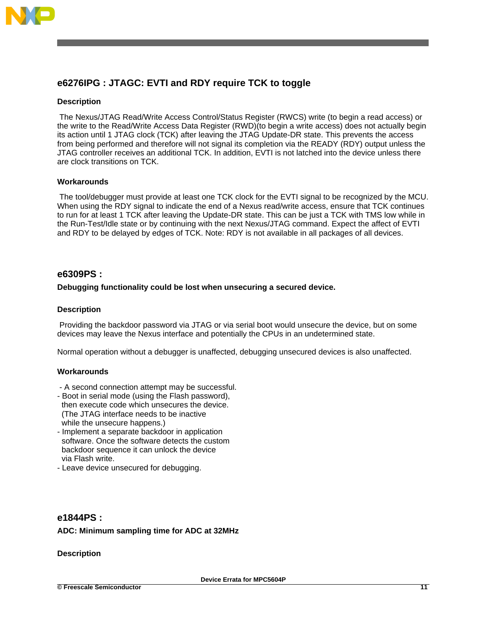

## **e6276IPG : JTAGC: EVTI and RDY require TCK to toggle**

## **Description**

The Nexus/JTAG Read/Write Access Control/Status Register (RWCS) write (to begin a read access) or the write to the Read/Write Access Data Register (RWD)(to begin a write access) does not actually begin its action until 1 JTAG clock (TCK) after leaving the JTAG Update-DR state. This prevents the access from being performed and therefore will not signal its completion via the READY (RDY) output unless the JTAG controller receives an additional TCK. In addition, EVTI is not latched into the device unless there are clock transitions on TCK.

## **Workarounds**

The tool/debugger must provide at least one TCK clock for the EVTI signal to be recognized by the MCU. When using the RDY signal to indicate the end of a Nexus read/write access, ensure that TCK continues to run for at least 1 TCK after leaving the Update-DR state. This can be just a TCK with TMS low while in the Run-Test/Idle state or by continuing with the next Nexus/JTAG command. Expect the affect of EVTI and RDY to be delayed by edges of TCK. Note: RDY is not available in all packages of all devices.

## **e6309PS :**

#### **Debugging functionality could be lost when unsecuring a secured device.**

#### **Description**

Providing the backdoor password via JTAG or via serial boot would unsecure the device, but on some devices may leave the Nexus interface and potentially the CPUs in an undetermined state.

Normal operation without a debugger is unaffected, debugging unsecured devices is also unaffected.

#### **Workarounds**

- A second connection attempt may be successful.
- Boot in serial mode (using the Flash password), then execute code which unsecures the device. (The JTAG interface needs to be inactive while the unsecure happens.)
- Implement a separate backdoor in application software. Once the software detects the custom backdoor sequence it can unlock the device via Flash write.
- Leave device unsecured for debugging.

## **e1844PS : ADC: Minimum sampling time for ADC at 32MHz**

#### **Description**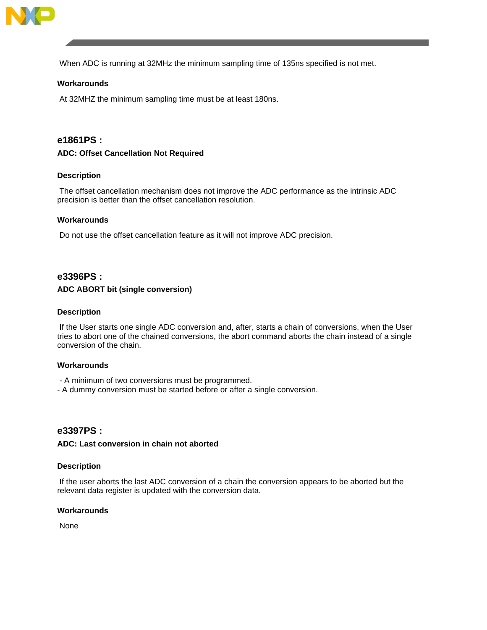

When ADC is running at 32MHz the minimum sampling time of 135ns specified is not met.

## **Workarounds**

At 32MHZ the minimum sampling time must be at least 180ns.

## **e1861PS :**

#### **ADC: Offset Cancellation Not Required**

### **Description**

The offset cancellation mechanism does not improve the ADC performance as the intrinsic ADC precision is better than the offset cancellation resolution.

#### **Workarounds**

Do not use the offset cancellation feature as it will not improve ADC precision.

## **e3396PS :**

#### **ADC ABORT bit (single conversion)**

#### **Description**

If the User starts one single ADC conversion and, after, starts a chain of conversions, when the User tries to abort one of the chained conversions, the abort command aborts the chain instead of a single conversion of the chain.

#### **Workarounds**

- A minimum of two conversions must be programmed.
- A dummy conversion must be started before or after a single conversion.

## **e3397PS :**

#### **ADC: Last conversion in chain not aborted**

#### **Description**

If the user aborts the last ADC conversion of a chain the conversion appears to be aborted but the relevant data register is updated with the conversion data.

#### **Workarounds**

None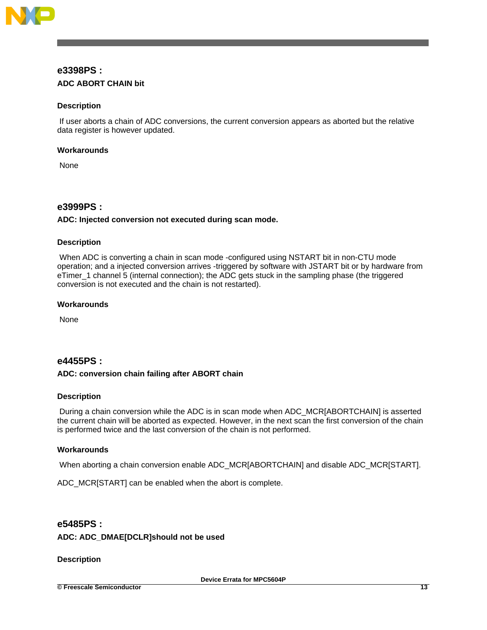

## **e3398PS : ADC ABORT CHAIN bit**

## **Description**

If user aborts a chain of ADC conversions, the current conversion appears as aborted but the relative data register is however updated.

## **Workarounds**

None

## **e3999PS :**

## **ADC: Injected conversion not executed during scan mode.**

## **Description**

When ADC is converting a chain in scan mode -configured using NSTART bit in non-CTU mode operation; and a injected conversion arrives -triggered by software with JSTART bit or by hardware from eTimer\_1 channel 5 (internal connection); the ADC gets stuck in the sampling phase (the triggered conversion is not executed and the chain is not restarted).

## **Workarounds**

None

## **e4455PS :**

## **ADC: conversion chain failing after ABORT chain**

## **Description**

During a chain conversion while the ADC is in scan mode when ADC\_MCR[ABORTCHAIN] is asserted the current chain will be aborted as expected. However, in the next scan the first conversion of the chain is performed twice and the last conversion of the chain is not performed.

## **Workarounds**

When aborting a chain conversion enable ADC\_MCR[ABORTCHAIN] and disable ADC\_MCR[START].

ADC\_MCR[START] can be enabled when the abort is complete.

## **e5485PS :**

## **ADC: ADC\_DMAE[DCLR]should not be used**

## **Description**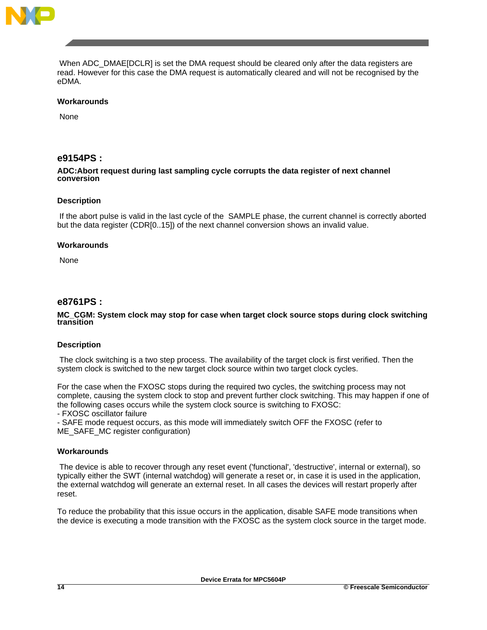

When ADC\_DMAE[DCLR] is set the DMA request should be cleared only after the data registers are read. However for this case the DMA request is automatically cleared and will not be recognised by the eDMA.

#### **Workarounds**

None

## **e9154PS :**

#### **ADC:Abort request during last sampling cycle corrupts the data register of next channel conversion**

#### **Description**

If the abort pulse is valid in the last cycle of the SAMPLE phase, the current channel is correctly aborted but the data register (CDR[0..15]) of the next channel conversion shows an invalid value.

## **Workarounds**

None

## **e8761PS :**

#### **MC\_CGM: System clock may stop for case when target clock source stops during clock switching transition**

#### **Description**

The clock switching is a two step process. The availability of the target clock is first verified. Then the system clock is switched to the new target clock source within two target clock cycles.

For the case when the FXOSC stops during the required two cycles, the switching process may not complete, causing the system clock to stop and prevent further clock switching. This may happen if one of the following cases occurs while the system clock source is switching to FXOSC:

- FXOSC oscillator failure

- SAFE mode request occurs, as this mode will immediately switch OFF the FXOSC (refer to ME\_SAFE\_MC register configuration)

#### **Workarounds**

The device is able to recover through any reset event ('functional', 'destructive', internal or external), so typically either the SWT (internal watchdog) will generate a reset or, in case it is used in the application, the external watchdog will generate an external reset. In all cases the devices will restart properly after reset.

To reduce the probability that this issue occurs in the application, disable SAFE mode transitions when the device is executing a mode transition with the FXOSC as the system clock source in the target mode.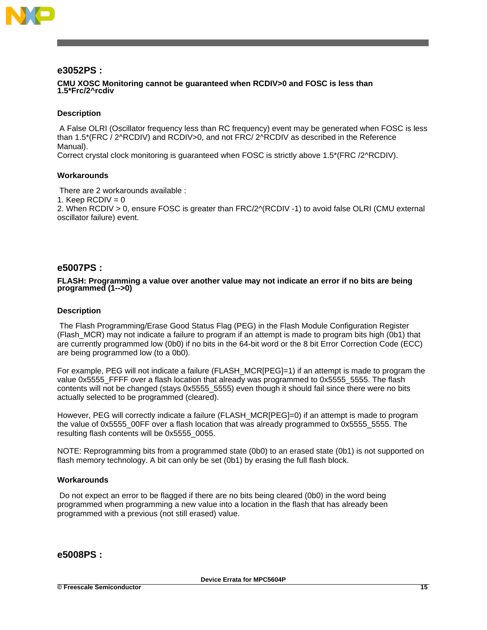

## **e3052PS :**

#### **CMU XOSC Monitoring cannot be guaranteed when RCDIV>0 and FOSC is less than 1.5\*Frc/2^rcdiv**

#### **Description**

A False OLRI (Oscillator frequency less than RC frequency) event may be generated when FOSC is less than 1.5\*(FRC / 2^RCDIV) and RCDIV>0, and not FRC/ 2^RCDIV as described in the Reference Manual).

Correct crystal clock monitoring is guaranteed when FOSC is strictly above 1.5\*(FRC /2^RCDIV).

## **Workarounds**

There are 2 workarounds available :

1. Keep  $RCDIV = 0$ 

2. When RCDIV > 0, ensure FOSC is greater than FRC/2^(RCDIV -1) to avoid false OLRI (CMU external oscillator failure) event.

## **e5007PS :**

#### **FLASH: Programming a value over another value may not indicate an error if no bits are being programmed (1-->0)**

#### **Description**

The Flash Programming/Erase Good Status Flag (PEG) in the Flash Module Configuration Register (Flash\_MCR) may not indicate a failure to program if an attempt is made to program bits high (0b1) that are currently programmed low (0b0) if no bits in the 64-bit word or the 8 bit Error Correction Code (ECC) are being programmed low (to a 0b0).

For example, PEG will not indicate a failure (FLASH\_MCR[PEG]=1) if an attempt is made to program the value 0x5555 FFFF over a flash location that already was programmed to 0x5555 5555. The flash contents will not be changed (stays 0x5555\_5555) even though it should fail since there were no bits actually selected to be programmed (cleared).

However, PEG will correctly indicate a failure (FLASH\_MCR[PEG]=0) if an attempt is made to program the value of 0x5555 00FF over a flash location that was already programmed to 0x5555 5555. The resulting flash contents will be 0x5555\_0055.

NOTE: Reprogramming bits from a programmed state (0b0) to an erased state (0b1) is not supported on flash memory technology. A bit can only be set (0b1) by erasing the full flash block.

#### **Workarounds**

Do not expect an error to be flagged if there are no bits being cleared (0b0) in the word being programmed when programming a new value into a location in the flash that has already been programmed with a previous (not still erased) value.

## **e5008PS :**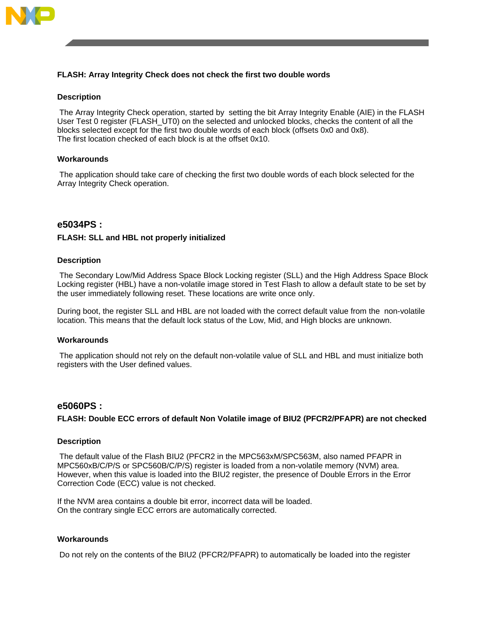

## **FLASH: Array Integrity Check does not check the first two double words**

#### **Description**

The Array Integrity Check operation, started by setting the bit Array Integrity Enable (AIE) in the FLASH User Test 0 register (FLASH\_UT0) on the selected and unlocked blocks, checks the content of all the blocks selected except for the first two double words of each block (offsets 0x0 and 0x8). The first location checked of each block is at the offset 0x10.

#### **Workarounds**

The application should take care of checking the first two double words of each block selected for the Array Integrity Check operation.

## **e5034PS :**

#### **FLASH: SLL and HBL not properly initialized**

#### **Description**

The Secondary Low/Mid Address Space Block Locking register (SLL) and the High Address Space Block Locking register (HBL) have a non-volatile image stored in Test Flash to allow a default state to be set by the user immediately following reset. These locations are write once only.

During boot, the register SLL and HBL are not loaded with the correct default value from the non-volatile location. This means that the default lock status of the Low, Mid, and High blocks are unknown.

#### **Workarounds**

The application should not rely on the default non-volatile value of SLL and HBL and must initialize both registers with the User defined values.

## **e5060PS :**

#### **FLASH: Double ECC errors of default Non Volatile image of BIU2 (PFCR2/PFAPR) are not checked**

#### **Description**

The default value of the Flash BIU2 (PFCR2 in the MPC563xM/SPC563M, also named PFAPR in MPC560xB/C/P/S or SPC560B/C/P/S) register is loaded from a non-volatile memory (NVM) area. However, when this value is loaded into the BIU2 register, the presence of Double Errors in the Error Correction Code (ECC) value is not checked.

If the NVM area contains a double bit error, incorrect data will be loaded. On the contrary single ECC errors are automatically corrected.

#### **Workarounds**

Do not rely on the contents of the BIU2 (PFCR2/PFAPR) to automatically be loaded into the register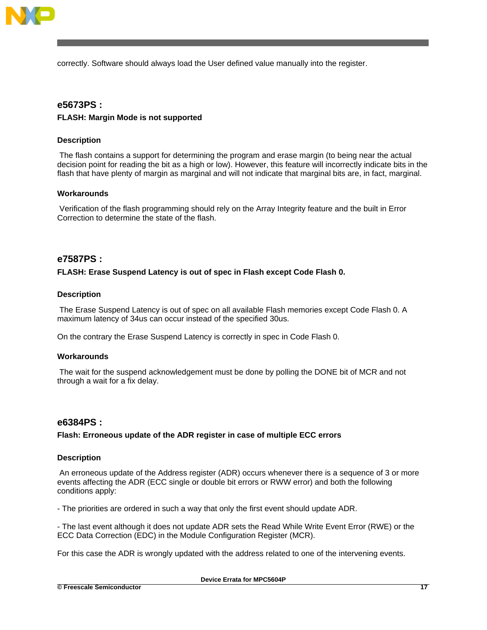

correctly. Software should always load the User defined value manually into the register.

## **e5673PS :**

## **FLASH: Margin Mode is not supported**

## **Description**

The flash contains a support for determining the program and erase margin (to being near the actual decision point for reading the bit as a high or low). However, this feature will incorrectly indicate bits in the flash that have plenty of margin as marginal and will not indicate that marginal bits are, in fact, marginal.

## **Workarounds**

Verification of the flash programming should rely on the Array Integrity feature and the built in Error Correction to determine the state of the flash.

## **e7587PS :**

## **FLASH: Erase Suspend Latency is out of spec in Flash except Code Flash 0.**

## **Description**

The Erase Suspend Latency is out of spec on all available Flash memories except Code Flash 0. A maximum latency of 34us can occur instead of the specified 30us.

On the contrary the Erase Suspend Latency is correctly in spec in Code Flash 0.

## **Workarounds**

The wait for the suspend acknowledgement must be done by polling the DONE bit of MCR and not through a wait for a fix delay.

## **e6384PS :**

## **Flash: Erroneous update of the ADR register in case of multiple ECC errors**

## **Description**

An erroneous update of the Address register (ADR) occurs whenever there is a sequence of 3 or more events affecting the ADR (ECC single or double bit errors or RWW error) and both the following conditions apply:

- The priorities are ordered in such a way that only the first event should update ADR.

- The last event although it does not update ADR sets the Read While Write Event Error (RWE) or the ECC Data Correction (EDC) in the Module Configuration Register (MCR).

For this case the ADR is wrongly updated with the address related to one of the intervening events.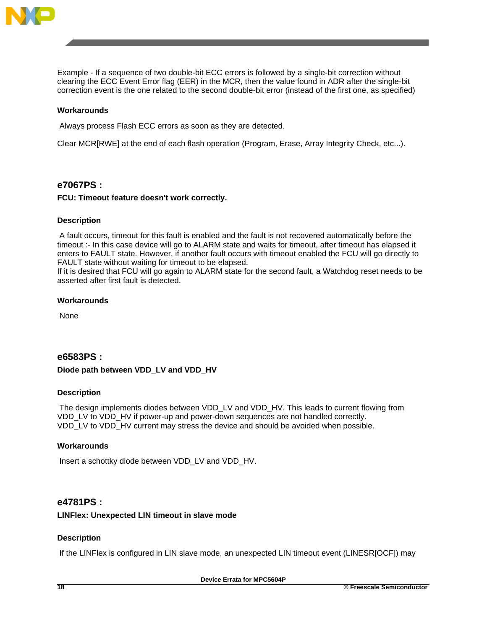

Example - If a sequence of two double-bit ECC errors is followed by a single-bit correction without clearing the ECC Event Error flag (EER) in the MCR, then the value found in ADR after the single-bit correction event is the one related to the second double-bit error (instead of the first one, as specified)

## **Workarounds**

Always process Flash ECC errors as soon as they are detected.

Clear MCR[RWE] at the end of each flash operation (Program, Erase, Array Integrity Check, etc...).

## **e7067PS :**

#### **FCU: Timeout feature doesn't work correctly.**

#### **Description**

A fault occurs, timeout for this fault is enabled and the fault is not recovered automatically before the timeout :- In this case device will go to ALARM state and waits for timeout, after timeout has elapsed it enters to FAULT state. However, if another fault occurs with timeout enabled the FCU will go directly to FAULT state without waiting for timeout to be elapsed.

If it is desired that FCU will go again to ALARM state for the second fault, a Watchdog reset needs to be asserted after first fault is detected.

#### **Workarounds**

None

## **e6583PS :**

## **Diode path between VDD\_LV and VDD\_HV**

## **Description**

The design implements diodes between VDD\_LV and VDD\_HV. This leads to current flowing from VDD\_LV to VDD\_HV if power-up and power-down sequences are not handled correctly. VDD\_LV to VDD\_HV current may stress the device and should be avoided when possible.

## **Workarounds**

Insert a schottky diode between VDD\_LV and VDD\_HV.

## **e4781PS :**

#### **LINFlex: Unexpected LIN timeout in slave mode**

## **Description**

If the LINFlex is configured in LIN slave mode, an unexpected LIN timeout event (LINESR[OCF]) may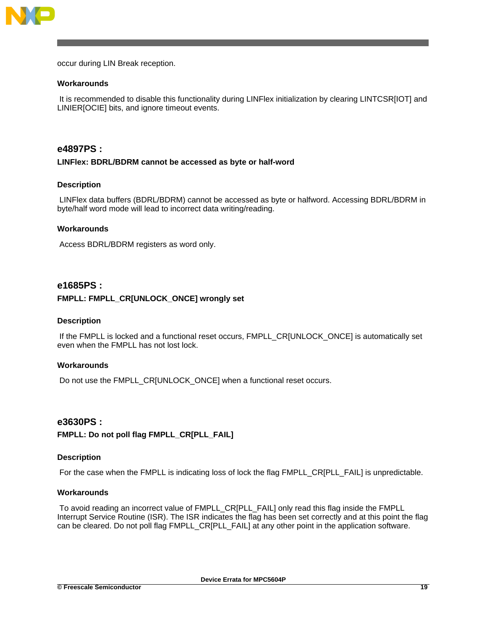

occur during LIN Break reception.

#### **Workarounds**

It is recommended to disable this functionality during LINFlex initialization by clearing LINTCSR[IOT] and LINIER[OCIE] bits, and ignore timeout events.

## **e4897PS :**

#### **LINFlex: BDRL/BDRM cannot be accessed as byte or half-word**

#### **Description**

LINFlex data buffers (BDRL/BDRM) cannot be accessed as byte or halfword. Accessing BDRL/BDRM in byte/half word mode will lead to incorrect data writing/reading.

#### **Workarounds**

Access BDRL/BDRM registers as word only.

## **e1685PS :**

#### **FMPLL: FMPLL\_CR[UNLOCK\_ONCE] wrongly set**

#### **Description**

If the FMPLL is locked and a functional reset occurs, FMPLL\_CR[UNLOCK\_ONCE] is automatically set even when the FMPLL has not lost lock.

#### **Workarounds**

Do not use the FMPLL\_CR[UNLOCK\_ONCE] when a functional reset occurs.

## **e3630PS :**

## **FMPLL: Do not poll flag FMPLL\_CR[PLL\_FAIL]**

## **Description**

For the case when the FMPLL is indicating loss of lock the flag FMPLL\_CR[PLL\_FAIL] is unpredictable.

## **Workarounds**

To avoid reading an incorrect value of FMPLL\_CR[PLL\_FAIL] only read this flag inside the FMPLL Interrupt Service Routine (ISR). The ISR indicates the flag has been set correctly and at this point the flag can be cleared. Do not poll flag FMPLL\_CR[PLL\_FAIL] at any other point in the application software.